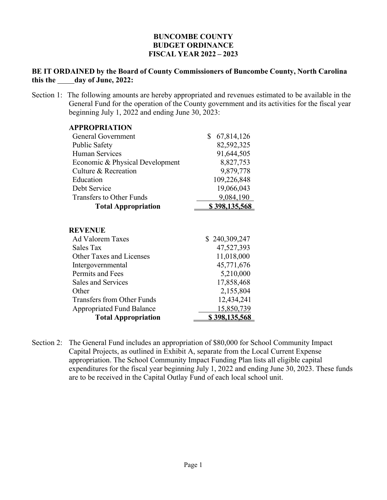## **BUNCOMBE COUNTY BUDGET ORDINANCE FISCAL YEAR 2022 – 2023**

## **BE IT ORDAINED by the Board of County Commissioners of Buncombe County, North Carolina this the day of June, 2022:**

Section 1: The following amounts are hereby appropriated and revenues estimated to be available in the General Fund for the operation of the County government and its activities for the fiscal year beginning July 1, 2022 and ending June 30, 2023:

| <b>APPROPRIATION</b>                                          |                             |
|---------------------------------------------------------------|-----------------------------|
| <b>General Government</b>                                     | \$<br>67,814,126            |
| <b>Public Safety</b>                                          | 82,592,325                  |
| Human Services                                                | 91,644,505                  |
| Economic & Physical Development                               | 8,827,753                   |
| Culture & Recreation                                          | 9,879,778                   |
| Education                                                     | 109,226,848                 |
| Debt Service                                                  | 19,066,043                  |
| <b>Transfers to Other Funds</b>                               | 9,084,190                   |
| <b>Total Appropriation</b>                                    | \$398,135,568               |
| <b>REVENUE</b><br><b>Ad Valorem Taxes</b><br><b>Sales Tax</b> | \$240,309,247<br>47,527,393 |
| <b>Other Taxes and Licenses</b>                               | 11,018,000                  |
| Intergovernmental                                             | 45,771,676                  |
| Permits and Fees                                              | 5,210,000                   |
| <b>Sales and Services</b>                                     | 17,858,468                  |
| Other                                                         | 2,155,804                   |
| <b>Transfers from Other Funds</b>                             | 12,434,241                  |
| <b>Appropriated Fund Balance</b>                              | 15,850,739                  |
| <b>Total Appropriation</b>                                    | \$398,135,568               |
|                                                               |                             |

Section 2: The General Fund includes an appropriation of \$80,000 for School Community Impact Capital Projects, as outlined in Exhibit A, separate from the Local Current Expense appropriation. The School Community Impact Funding Plan lists all eligible capital expenditures for the fiscal year beginning July 1, 2022 and ending June 30, 2023. These funds are to be received in the Capital Outlay Fund of each local school unit.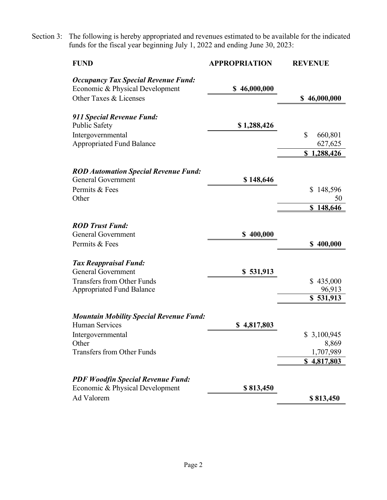Section 3: The following is hereby appropriated and revenues estimated to be available for the indicated funds for the fiscal year beginning July 1, 2022 and ending June 30, 2023:

| <b>FUND</b>                                                                   | <b>APPROPRIATION</b> | <b>REVENUE</b>      |
|-------------------------------------------------------------------------------|----------------------|---------------------|
| <b>Occupancy Tax Special Revenue Fund:</b><br>Economic & Physical Development | \$46,000,000         |                     |
| Other Taxes & Licenses                                                        |                      | \$46,000,000        |
| 911 Special Revenue Fund:                                                     |                      |                     |
| <b>Public Safety</b>                                                          | \$1,288,426          |                     |
| Intergovernmental                                                             |                      | \$<br>660,801       |
| <b>Appropriated Fund Balance</b>                                              |                      | 627,625             |
|                                                                               |                      | \$1,288,426         |
| <b>ROD Automation Special Revenue Fund:</b>                                   |                      |                     |
| <b>General Government</b>                                                     | \$148,646            |                     |
| Permits & Fees                                                                |                      | 148,596<br>\$       |
| Other                                                                         |                      | 50                  |
|                                                                               |                      | 148,646<br>S        |
| <b>ROD Trust Fund:</b>                                                        |                      |                     |
| <b>General Government</b>                                                     | \$400,000            |                     |
| Permits & Fees                                                                |                      | \$400,000           |
|                                                                               |                      |                     |
| <b>Tax Reappraisal Fund:</b>                                                  |                      |                     |
| <b>General Government</b>                                                     | \$531,913            |                     |
| <b>Transfers from Other Funds</b><br><b>Appropriated Fund Balance</b>         |                      | \$435,000<br>96,913 |
|                                                                               |                      | $\sqrt{531,913}$    |
|                                                                               |                      |                     |
| <b>Mountain Mobility Special Revenue Fund:</b>                                |                      |                     |
| <b>Human Services</b>                                                         | \$4,817,803          |                     |
| Intergovernmental                                                             |                      | \$3,100,945         |
| Other<br><b>Transfers from Other Funds</b>                                    |                      | 8,869<br>1,707,989  |
|                                                                               |                      | \$4,817,803         |
|                                                                               |                      |                     |
| <b>PDF Woodfin Special Revenue Fund:</b>                                      |                      |                     |
| Economic & Physical Development                                               | \$813,450            |                     |
| Ad Valorem                                                                    |                      | \$813,450           |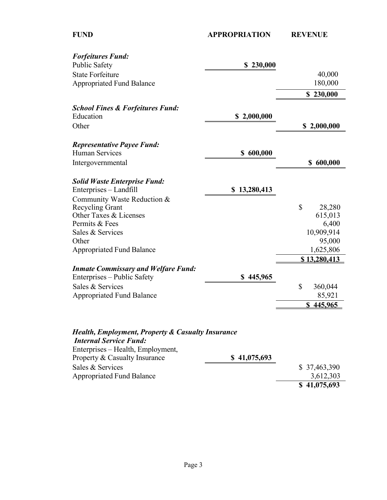| <b>Forfeitures Fund:</b>                          |                  |                     |
|---------------------------------------------------|------------------|---------------------|
| <b>Public Safety</b>                              | \$230,000        |                     |
| <b>State Forfeiture</b>                           |                  | 40,000              |
| <b>Appropriated Fund Balance</b>                  |                  | 180,000             |
|                                                   |                  | \$230,000           |
| <b>School Fines &amp; Forfeitures Fund:</b>       |                  |                     |
| Education                                         | \$2,000,000      |                     |
| Other                                             |                  | \$2,000,000         |
| <b>Representative Payee Fund:</b>                 |                  |                     |
| <b>Human Services</b>                             | \$600,000        |                     |
| Intergovernmental                                 |                  | \$600,000           |
| <b>Solid Waste Enterprise Fund:</b>               |                  |                     |
| Enterprises - Landfill                            | 13,280,413<br>\$ |                     |
| Community Waste Reduction &                       |                  |                     |
| <b>Recycling Grant</b>                            |                  | \$<br>28,280        |
| Other Taxes & Licenses                            |                  | 615,013             |
| Permits & Fees                                    |                  | 6,400               |
| Sales & Services                                  |                  | 10,909,914          |
| Other                                             |                  | 95,000              |
| <b>Appropriated Fund Balance</b>                  |                  | 1,625,806           |
|                                                   |                  | <u>\$13,280,413</u> |
| <b>Inmate Commissary and Welfare Fund:</b>        |                  |                     |
| Enterprises – Public Safety                       | \$445,965        |                     |
| Sales & Services                                  |                  | \$<br>360,044       |
| <b>Appropriated Fund Balance</b>                  |                  | 85,921              |
|                                                   |                  | 445,965<br>\$       |
| Health, Employment, Property & Casualty Insurance |                  |                     |
| <b>Internal Service Fund:</b>                     |                  |                     |
| Enterprises - Health, Employment,                 |                  |                     |
| Property & Casualty Insurance                     | \$41,075,693     |                     |
| Sales & Services                                  |                  | \$37,463,390        |
| <b>Appropriated Fund Balance</b>                  |                  | 3,612,303           |
|                                                   |                  | \$41,075,693        |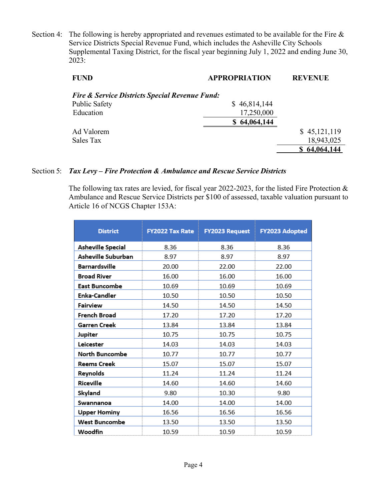Section 4: The following is hereby appropriated and revenues estimated to be available for the Fire & Service Districts Special Revenue Fund, which includes the Asheville City Schools Supplemental Taxing District, for the fiscal year beginning July 1, 2022 and ending June 30, 2023:

| <b>FUND</b>                                               | <b>APPROPRIATION</b> | <b>REVENUE</b> |
|-----------------------------------------------------------|----------------------|----------------|
| <b>Fire &amp; Service Districts Special Revenue Fund:</b> |                      |                |
| <b>Public Safety</b>                                      | \$46,814,144         |                |
| Education                                                 | 17,250,000           |                |
|                                                           | \$64,064,144         |                |
| Ad Valorem                                                |                      | \$45,121,119   |
| Sales Tax                                                 |                      | 18,943,025     |
|                                                           |                      | 64,064,144     |

## Section 5: *Tax Levy – Fire Protection & Ambulance and Rescue Service Districts*

The following tax rates are levied, for fiscal year 2022-2023, for the listed Fire Protection & Ambulance and Rescue Service Districts per \$100 of assessed, taxable valuation pursuant to Article 16 of NCGS Chapter 153A:

| <b>District</b>      | <b>FY2022 Tax Rate</b> | <b>FY2023 Request</b> | FY2023 Adopted |
|----------------------|------------------------|-----------------------|----------------|
| Asheville Special    | 8.36                   | 8.36                  | 8.36           |
| Asheville Suburban   | 8.97                   | 8.97                  | 8.97           |
| <b>Barnardsville</b> | 20.00                  | 22.00                 | 22.00          |
| <b>Broad River</b>   | 16.00                  | 16.00                 | 16.00          |
| East Buncombe        | 10.69                  | 10.69                 | 10.69          |
| Enka-Candler         | 10.50                  | 10.50                 | 10.50          |
| Fairview             | 14.50                  | 14.50                 | 14.50          |
| French Broad         | 17.20                  | 17.20                 | 17.20          |
| Garren Creek         | 13.84                  | 13.84                 | 13.84          |
| Jupiter              | 10.75                  | 10.75                 | 10.75          |
| Leicester            | 14.03                  | 14.03                 | 14.03          |
| North Buncombe       | 10.77                  | 10.77                 | 10.77          |
| <b>Reems Creek</b>   | 15.07                  | 15.07                 | 15.07          |
| Reynolds             | 11.24                  | 11.24                 | 11.24          |
| Riceville            | 14.60                  | 14.60                 | 14.60          |
| Skyland              | 9.80                   | 10.30                 | 9.80           |
| Swannanoa            | 14.00                  | 14.00                 | 14.00          |
| <b>Upper Hominy</b>  | 16.56                  | 16.56                 | 16.56          |
| West Buncombe        | 13.50                  | 13.50                 | 13.50          |
| Woodfin              | 10.59                  | 10.59                 | 10.59          |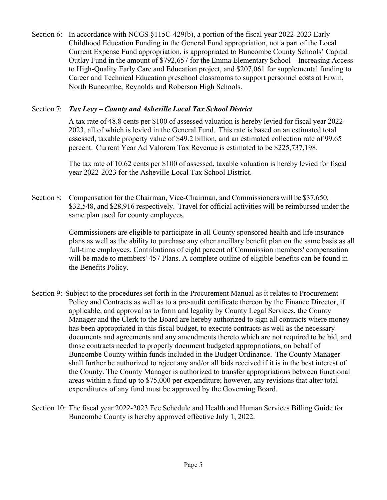Section 6: In accordance with NCGS §115C-429(b), a portion of the fiscal year 2022-2023 Early Childhood Education Funding in the General Fund appropriation, not a part of the Local Current Expense Fund appropriation, is appropriated to Buncombe County Schools' Capital Outlay Fund in the amount of \$792,657 for the Emma Elementary School – Increasing Access to High-Quality Early Care and Education project, and \$207,061 for supplemental funding to Career and Technical Education preschool classrooms to support personnel costs at Erwin, North Buncombe, Reynolds and Roberson High Schools.

## Section 7: *Tax Levy – County and Asheville Local Tax School District*

A tax rate of 48.8 cents per \$100 of assessed valuation is hereby levied for fiscal year 2022- 2023, all of which is levied in the General Fund. This rate is based on an estimated total assessed, taxable property value of \$49.2 billion, and an estimated collection rate of 99.65 percent. Current Year Ad Valorem Tax Revenue is estimated to be \$225,737,198.

The tax rate of 10.62 cents per \$100 of assessed, taxable valuation is hereby levied for fiscal year 2022-2023 for the Asheville Local Tax School District.

Section 8: Compensation for the Chairman, Vice-Chairman, and Commissioners will be \$37,650, \$32,548, and \$28,916 respectively. Travel for official activities will be reimbursed under the same plan used for county employees.

> Commissioners are eligible to participate in all County sponsored health and life insurance plans as well as the ability to purchase any other ancillary benefit plan on the same basis as all full-time employees. Contributions of eight percent of Commission members' compensation will be made to members' 457 Plans. A complete outline of eligible benefits can be found in the Benefits Policy.

- Section 9: Subject to the procedures set forth in the Procurement Manual as it relates to Procurement Policy and Contracts as well as to a pre-audit certificate thereon by the Finance Director, if applicable, and approval as to form and legality by County Legal Services, the County Manager and the Clerk to the Board are hereby authorized to sign all contracts where money has been appropriated in this fiscal budget, to execute contracts as well as the necessary documents and agreements and any amendments thereto which are not required to be bid, and those contracts needed to properly document budgeted appropriations, on behalf of Buncombe County within funds included in the Budget Ordinance. The County Manager shall further be authorized to reject any and/or all bids received if it is in the best interest of the County. The County Manager is authorized to transfer appropriations between functional areas within a fund up to \$75,000 per expenditure; however, any revisions that alter total expenditures of any fund must be approved by the Governing Board.
- Section 10: The fiscal year 2022-2023 Fee Schedule and Health and Human Services Billing Guide for Buncombe County is hereby approved effective July 1, 2022.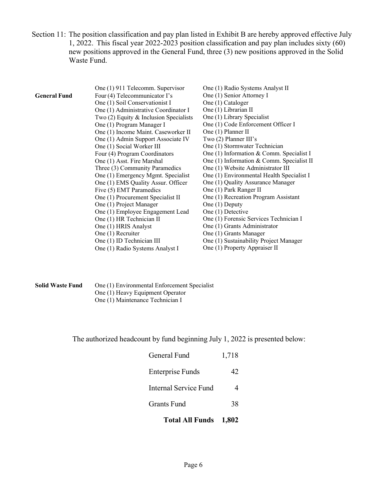Section 11: The position classification and pay plan listed in Exhibit B are hereby approved effective July 1, 2022. This fiscal year 2022-2023 position classification and pay plan includes sixty (60) new positions approved in the General Fund, three (3) new positions approved in the Solid Waste Fund.

| One (1) Senior Attorney I<br>Four (4) Telecommunicator I's<br><b>General Fund</b><br>One (1) Cataloger<br>One (1) Soil Conservationist I<br>One (1) Librarian II<br>One (1) Administrative Coordinator I<br>One (1) Library Specialist<br>Two $(2)$ Equity & Inclusion Specialists<br>One (1) Code Enforcement Officer I<br>One (1) Program Manager I<br>One (1) Planner II<br>One (1) Income Maint. Caseworker II<br>Two $(2)$ Planner III's<br>One (1) Admin Support Associate IV<br>One (1) Stormwater Technician<br>One (1) Social Worker III<br>One (1) Information & Comm. Specialist I<br>Four (4) Program Coordinators<br>One (1) Information & Comm. Specialist II<br>One (1) Asst. Fire Marshal<br>One (1) Website Administrator III<br>Three (3) Community Paramedics<br>One (1) Environmental Health Specialist I<br>One (1) Emergency Mgmt. Specialist<br>One (1) EMS Quality Assur. Officer<br>One (1) Quality Assurance Manager<br>Five (5) EMT Paramedics<br>One (1) Park Ranger II<br>One (1) Recreation Program Assistant<br>One (1) Procurement Specialist II<br>One (1) Deputy<br>One (1) Project Manager<br>One (1) Detective<br>One (1) Employee Engagement Lead<br>One (1) HR Technician II<br>One (1) Forensic Services Technician I<br>One (1) HRIS Analyst<br>One (1) Grants Administrator<br>One (1) Recruiter<br>One (1) Grants Manager<br>One (1) Sustainability Project Manager<br>One (1) ID Technician III<br>One (1) Property Appraiser II | One (1) 911 Telecomm. Supervisor | One (1) Radio Systems Analyst II |
|-----------------------------------------------------------------------------------------------------------------------------------------------------------------------------------------------------------------------------------------------------------------------------------------------------------------------------------------------------------------------------------------------------------------------------------------------------------------------------------------------------------------------------------------------------------------------------------------------------------------------------------------------------------------------------------------------------------------------------------------------------------------------------------------------------------------------------------------------------------------------------------------------------------------------------------------------------------------------------------------------------------------------------------------------------------------------------------------------------------------------------------------------------------------------------------------------------------------------------------------------------------------------------------------------------------------------------------------------------------------------------------------------------------------------------------------------------------------------------|----------------------------------|----------------------------------|
|                                                                                                                                                                                                                                                                                                                                                                                                                                                                                                                                                                                                                                                                                                                                                                                                                                                                                                                                                                                                                                                                                                                                                                                                                                                                                                                                                                                                                                                                             |                                  |                                  |
|                                                                                                                                                                                                                                                                                                                                                                                                                                                                                                                                                                                                                                                                                                                                                                                                                                                                                                                                                                                                                                                                                                                                                                                                                                                                                                                                                                                                                                                                             |                                  |                                  |
|                                                                                                                                                                                                                                                                                                                                                                                                                                                                                                                                                                                                                                                                                                                                                                                                                                                                                                                                                                                                                                                                                                                                                                                                                                                                                                                                                                                                                                                                             |                                  |                                  |
|                                                                                                                                                                                                                                                                                                                                                                                                                                                                                                                                                                                                                                                                                                                                                                                                                                                                                                                                                                                                                                                                                                                                                                                                                                                                                                                                                                                                                                                                             |                                  |                                  |
|                                                                                                                                                                                                                                                                                                                                                                                                                                                                                                                                                                                                                                                                                                                                                                                                                                                                                                                                                                                                                                                                                                                                                                                                                                                                                                                                                                                                                                                                             |                                  |                                  |
|                                                                                                                                                                                                                                                                                                                                                                                                                                                                                                                                                                                                                                                                                                                                                                                                                                                                                                                                                                                                                                                                                                                                                                                                                                                                                                                                                                                                                                                                             |                                  |                                  |
|                                                                                                                                                                                                                                                                                                                                                                                                                                                                                                                                                                                                                                                                                                                                                                                                                                                                                                                                                                                                                                                                                                                                                                                                                                                                                                                                                                                                                                                                             |                                  |                                  |
|                                                                                                                                                                                                                                                                                                                                                                                                                                                                                                                                                                                                                                                                                                                                                                                                                                                                                                                                                                                                                                                                                                                                                                                                                                                                                                                                                                                                                                                                             |                                  |                                  |
|                                                                                                                                                                                                                                                                                                                                                                                                                                                                                                                                                                                                                                                                                                                                                                                                                                                                                                                                                                                                                                                                                                                                                                                                                                                                                                                                                                                                                                                                             |                                  |                                  |
|                                                                                                                                                                                                                                                                                                                                                                                                                                                                                                                                                                                                                                                                                                                                                                                                                                                                                                                                                                                                                                                                                                                                                                                                                                                                                                                                                                                                                                                                             |                                  |                                  |
|                                                                                                                                                                                                                                                                                                                                                                                                                                                                                                                                                                                                                                                                                                                                                                                                                                                                                                                                                                                                                                                                                                                                                                                                                                                                                                                                                                                                                                                                             |                                  |                                  |
|                                                                                                                                                                                                                                                                                                                                                                                                                                                                                                                                                                                                                                                                                                                                                                                                                                                                                                                                                                                                                                                                                                                                                                                                                                                                                                                                                                                                                                                                             |                                  |                                  |
|                                                                                                                                                                                                                                                                                                                                                                                                                                                                                                                                                                                                                                                                                                                                                                                                                                                                                                                                                                                                                                                                                                                                                                                                                                                                                                                                                                                                                                                                             |                                  |                                  |
|                                                                                                                                                                                                                                                                                                                                                                                                                                                                                                                                                                                                                                                                                                                                                                                                                                                                                                                                                                                                                                                                                                                                                                                                                                                                                                                                                                                                                                                                             |                                  |                                  |
|                                                                                                                                                                                                                                                                                                                                                                                                                                                                                                                                                                                                                                                                                                                                                                                                                                                                                                                                                                                                                                                                                                                                                                                                                                                                                                                                                                                                                                                                             |                                  |                                  |
|                                                                                                                                                                                                                                                                                                                                                                                                                                                                                                                                                                                                                                                                                                                                                                                                                                                                                                                                                                                                                                                                                                                                                                                                                                                                                                                                                                                                                                                                             |                                  |                                  |
|                                                                                                                                                                                                                                                                                                                                                                                                                                                                                                                                                                                                                                                                                                                                                                                                                                                                                                                                                                                                                                                                                                                                                                                                                                                                                                                                                                                                                                                                             |                                  |                                  |
|                                                                                                                                                                                                                                                                                                                                                                                                                                                                                                                                                                                                                                                                                                                                                                                                                                                                                                                                                                                                                                                                                                                                                                                                                                                                                                                                                                                                                                                                             |                                  |                                  |
|                                                                                                                                                                                                                                                                                                                                                                                                                                                                                                                                                                                                                                                                                                                                                                                                                                                                                                                                                                                                                                                                                                                                                                                                                                                                                                                                                                                                                                                                             |                                  |                                  |
|                                                                                                                                                                                                                                                                                                                                                                                                                                                                                                                                                                                                                                                                                                                                                                                                                                                                                                                                                                                                                                                                                                                                                                                                                                                                                                                                                                                                                                                                             |                                  |                                  |
|                                                                                                                                                                                                                                                                                                                                                                                                                                                                                                                                                                                                                                                                                                                                                                                                                                                                                                                                                                                                                                                                                                                                                                                                                                                                                                                                                                                                                                                                             |                                  |                                  |
|                                                                                                                                                                                                                                                                                                                                                                                                                                                                                                                                                                                                                                                                                                                                                                                                                                                                                                                                                                                                                                                                                                                                                                                                                                                                                                                                                                                                                                                                             | One (1) Radio Systems Analyst I  |                                  |

| <b>Solid Waste Fund</b> | One (1) Environmental Enforcement Specialist |
|-------------------------|----------------------------------------------|
|                         | One (1) Heavy Equipment Operator             |
|                         | One (1) Maintenance Technician I             |

The authorized headcount by fund beginning July 1, 2022 is presented below:

| <b>Total All Funds</b>       | 1,802 |
|------------------------------|-------|
| <b>Grants Fund</b>           | 38    |
| <b>Internal Service Fund</b> | 4     |
| <b>Enterprise Funds</b>      | 42.   |
| General Fund                 | 1,718 |